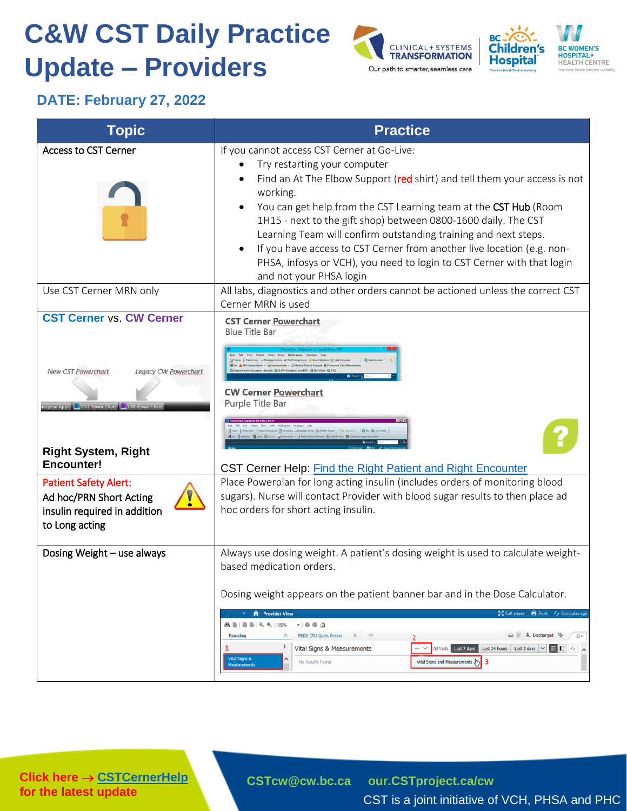## **C&W CST Daily Practice Update – Providers**





## **DATE: February 27, 2022**

| <b>Topic</b>                                                                                                                                                                                                                              | <b>Practice</b>                                                                                                                                                                                                                                                                                                                                                                                                                                                                                                                                                                                                                                                                                                      |
|-------------------------------------------------------------------------------------------------------------------------------------------------------------------------------------------------------------------------------------------|----------------------------------------------------------------------------------------------------------------------------------------------------------------------------------------------------------------------------------------------------------------------------------------------------------------------------------------------------------------------------------------------------------------------------------------------------------------------------------------------------------------------------------------------------------------------------------------------------------------------------------------------------------------------------------------------------------------------|
| <b>Access to CST Cerner</b>                                                                                                                                                                                                               | If you cannot access CST Cerner at Go-Live:<br>Try restarting your computer<br>Find an At The Elbow Support (red shirt) and tell them your access is not<br>working.<br>You can get help from the CST Learning team at the CST Hub (Room<br>1H15 - next to the gift shop) between 0800-1600 daily. The CST<br>Learning Team will confirm outstanding training and next steps.<br>If you have access to CST Cerner from another live location (e.g. non-<br>PHSA, infosys or VCH), you need to login to CST Cerner with that login<br>and not your PHSA login                                                                                                                                                         |
| Use CST Cerner MRN only                                                                                                                                                                                                                   | All labs, diagnostics and other orders cannot be actioned unless the correct CST<br>Cerner MRN is used                                                                                                                                                                                                                                                                                                                                                                                                                                                                                                                                                                                                               |
| <b>CST Cerner vs. CW Cerner</b><br>Legacy CW Powerchart<br><b>New CST Powerchart</b><br>terprise Apps <b>C</b> CST Power Chart <b>C</b> CW Power Chart<br><b>Right System, Right</b><br><b>Encounter!</b><br><b>Patient Safety Alert:</b> | <b>CST Cerner Powerchart</b><br><b>Blue Title Bar</b><br><b>CW Cerner Powerchart</b><br>Purple Title Bar<br>CST Cerner Help: Find the Right Patient and Right Encounter<br>Place Powerplan for long acting insulin (includes orders of monitoring blood<br>sugars). Nurse will contact Provider with blood sugar results to then place ad                                                                                                                                                                                                                                                                                                                                                                            |
| Ad hoc/PRN Short Acting<br>insulin required in addition<br>to Long acting                                                                                                                                                                 | hoc orders for short acting insulin.                                                                                                                                                                                                                                                                                                                                                                                                                                                                                                                                                                                                                                                                                 |
| Dosing Weight - use always                                                                                                                                                                                                                | Always use dosing weight. A patient's dosing weight is used to calculate weight-<br>based medication orders.<br>Dosing weight appears on the patient banner bar and in the Dose Calculator.<br><b>A</b> Provider View<br>증증 Full screen<br>$\bigoplus$ Print<br>$f_J$ 0 minutes ago<br>-1003<br>24 BI-BI-R, R, 100%<br>A. Discharged<br>PEDS CTU Quick Orders X<br>$\times$<br>$\equiv$<br>Rounding<br>Į<br>All Visits   Last 7 days  <br>Last 24 hours   Last 3 days $\vert \vee \vert$<br>Vital Signs & Measurements<br>■□<br>$\mathcal{L}_{\mathcal{F}}$<br>Vital Signs &<br>3<br>Vital Signs and Measurements $\left\{\begin{matrix} h_1 \\ h_2 \end{matrix}\right\}$<br>No Results Found<br><b>Measurements</b> |

**Click here → [CSTCernerHelp](http://cstcernerhelp.healthcarebc.ca/#t%3DWhats_New%2FWhat_s_New.htm=&t=CST_Cerner_Help.htm) for the latest update**

**[CSTcw@cw.bc.ca](mailto:CSTcw@cw.bc.ca) [our.CSTproject.ca/cw](https://transformationcentral.vch.ca/cw)**

CST is a joint initiative of VCH, PHSA and PHC